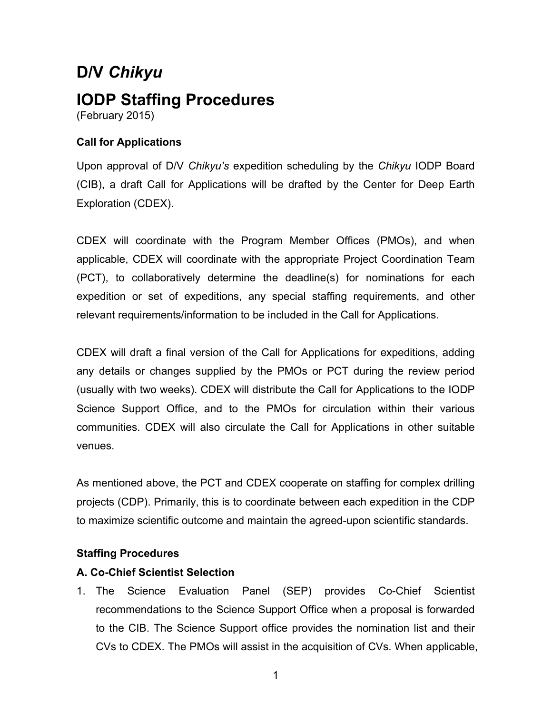# **D/V** *Chikyu* **IODP Staffing Procedures**  (February 2015)

## **Call for Applications**

Upon approval of D/V *Chikyu's* expedition scheduling by the *Chikyu* IODP Board (CIB), a draft Call for Applications will be drafted by the Center for Deep Earth Exploration (CDEX).

CDEX will coordinate with the Program Member Offices (PMOs), and when applicable, CDEX will coordinate with the appropriate Project Coordination Team (PCT), to collaboratively determine the deadline(s) for nominations for each expedition or set of expeditions, any special staffing requirements, and other relevant requirements/information to be included in the Call for Applications.

CDEX will draft a final version of the Call for Applications for expeditions, adding any details or changes supplied by the PMOs or PCT during the review period (usually with two weeks). CDEX will distribute the Call for Applications to the IODP Science Support Office, and to the PMOs for circulation within their various communities. CDEX will also circulate the Call for Applications in other suitable venues.

As mentioned above, the PCT and CDEX cooperate on staffing for complex drilling projects (CDP). Primarily, this is to coordinate between each expedition in the CDP to maximize scientific outcome and maintain the agreed-upon scientific standards.

### **Staffing Procedures**

### **A. Co-Chief Scientist Selection**

1. The Science Evaluation Panel (SEP) provides Co-Chief Scientist recommendations to the Science Support Office when a proposal is forwarded to the CIB. The Science Support office provides the nomination list and their CVs to CDEX. The PMOs will assist in the acquisition of CVs. When applicable,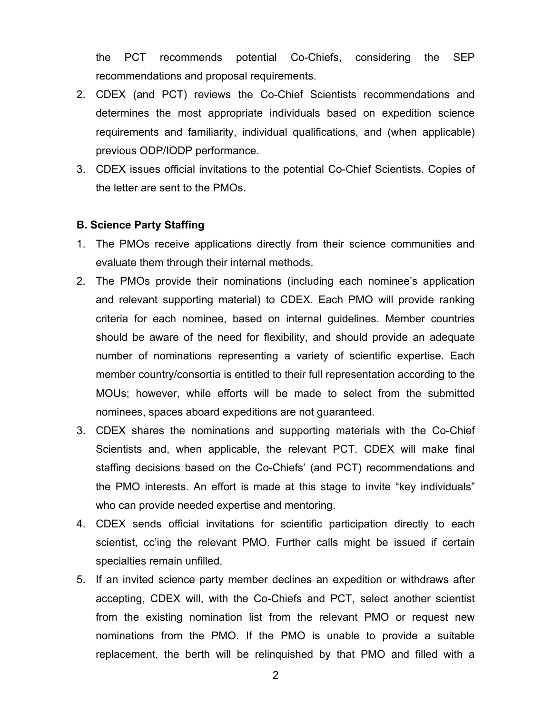the PCT recommends potential Co-Chiefs, considering the SEP recommendations and proposal requirements.

- 2. CDEX (and PCT) reviews the Co-Chief Scientists recommendations and determines the most appropriate individuals based on expedition science requirements and familiarity, individual qualifications, and (when applicable) previous ODP/IODP performance.
- 3. CDEX issues official invitations to the potential Co-Chief Scientists. Copies of the letter are sent to the PMOs.

#### **B. Science Party Staffing**

- 1. The PMOs receive applications directly from their science communities and evaluate them through their internal methods.
- 2. The PMOs provide their nominations (including each nominee's application and relevant supporting material) to CDEX. Each PMO will provide ranking criteria for each nominee, based on internal guidelines. Member countries should be aware of the need for flexibility, and should provide an adequate number of nominations representing a variety of scientific expertise. Each member country/consortia is entitled to their full representation according to the MOUs; however, while efforts will be made to select from the submitted nominees, spaces aboard expeditions are not guaranteed.
- 3. CDEX shares the nominations and supporting materials with the Co-Chief Scientists and, when applicable, the relevant PCT. CDEX will make final staffing decisions based on the Co-Chiefs' (and PCT) recommendations and the PMO interests. An effort is made at this stage to invite "key individuals" who can provide needed expertise and mentoring.
- 4. CDEX sends official invitations for scientific participation directly to each scientist, cc'ing the relevant PMO. Further calls might be issued if certain specialties remain unfilled.
- 5. If an invited science party member declines an expedition or withdraws after accepting, CDEX will, with the Co-Chiefs and PCT, select another scientist from the existing nomination list from the relevant PMO or request new nominations from the PMO. If the PMO is unable to provide a suitable replacement, the berth will be relinquished by that PMO and filled with a